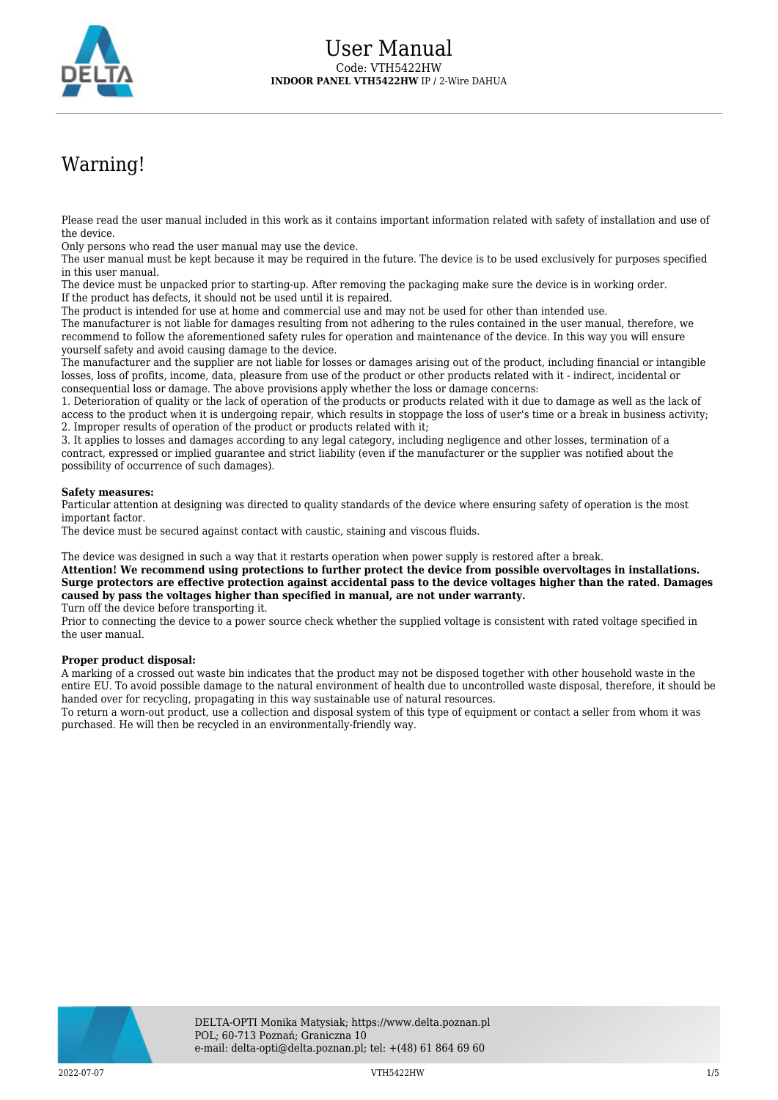

# Warning!

Please read the user manual included in this work as it contains important information related with safety of installation and use of the device.

Only persons who read the user manual may use the device.

The user manual must be kept because it may be required in the future. The device is to be used exclusively for purposes specified in this user manual.

The device must be unpacked prior to starting-up. After removing the packaging make sure the device is in working order. If the product has defects, it should not be used until it is repaired.

The product is intended for use at home and commercial use and may not be used for other than intended use.

The manufacturer is not liable for damages resulting from not adhering to the rules contained in the user manual, therefore, we recommend to follow the aforementioned safety rules for operation and maintenance of the device. In this way you will ensure yourself safety and avoid causing damage to the device.

The manufacturer and the supplier are not liable for losses or damages arising out of the product, including financial or intangible losses, loss of profits, income, data, pleasure from use of the product or other products related with it - indirect, incidental or consequential loss or damage. The above provisions apply whether the loss or damage concerns:

1. Deterioration of quality or the lack of operation of the products or products related with it due to damage as well as the lack of access to the product when it is undergoing repair, which results in stoppage the loss of user's time or a break in business activity; 2. Improper results of operation of the product or products related with it;

3. It applies to losses and damages according to any legal category, including negligence and other losses, termination of a contract, expressed or implied guarantee and strict liability (even if the manufacturer or the supplier was notified about the possibility of occurrence of such damages).

#### **Safety measures:**

Particular attention at designing was directed to quality standards of the device where ensuring safety of operation is the most important factor.

The device must be secured against contact with caustic, staining and viscous fluids.

The device was designed in such a way that it restarts operation when power supply is restored after a break.

**Attention! We recommend using protections to further protect the device from possible overvoltages in installations. Surge protectors are effective protection against accidental pass to the device voltages higher than the rated. Damages caused by pass the voltages higher than specified in manual, are not under warranty.**

Turn off the device before transporting it.

Prior to connecting the device to a power source check whether the supplied voltage is consistent with rated voltage specified in the user manual.

#### **Proper product disposal:**

A marking of a crossed out waste bin indicates that the product may not be disposed together with other household waste in the entire EU. To avoid possible damage to the natural environment of health due to uncontrolled waste disposal, therefore, it should be handed over for recycling, propagating in this way sustainable use of natural resources.

To return a worn-out product, use a collection and disposal system of this type of equipment or contact a seller from whom it was purchased. He will then be recycled in an environmentally-friendly way.

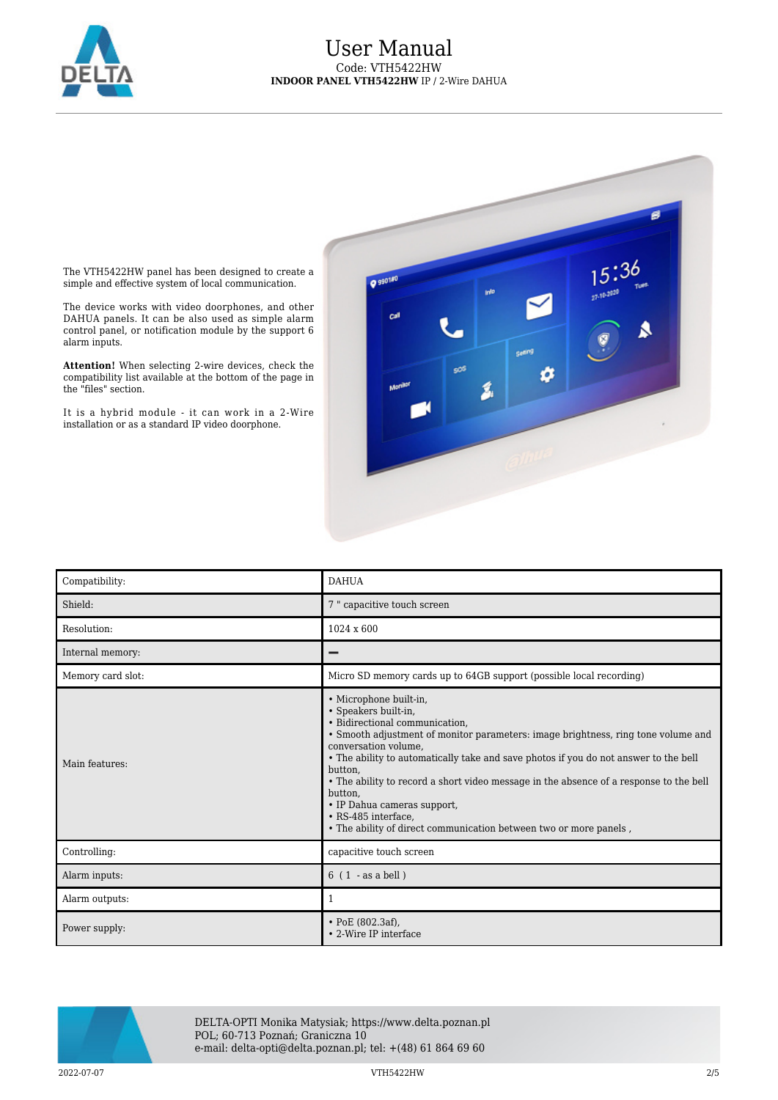

### User Manual Code: VTH5422HW **INDOOR PANEL VTH5422HW** IP / 2-Wire DAHUA



The VTH5422HW panel has been designed to create a simple and effective system of local communication.

The device works with video doorphones, and other DAHUA panels. It can be also used as simple alarm control panel, or notification module by the support 6 alarm inputs.

**Attention!** When selecting 2-wire devices, check the compatibility list available at the bottom of the page in the "files" section.

It is a hybrid module - it can work in a 2-Wire installation or as a standard IP video doorphone.

| Compatibility:    | <b>DAHUA</b>                                                                                                                                                                                                                                                                                                                                                                                                                                                                                                                     |
|-------------------|----------------------------------------------------------------------------------------------------------------------------------------------------------------------------------------------------------------------------------------------------------------------------------------------------------------------------------------------------------------------------------------------------------------------------------------------------------------------------------------------------------------------------------|
| Shield:           | 7 " capacitive touch screen                                                                                                                                                                                                                                                                                                                                                                                                                                                                                                      |
| Resolution:       | $1024 \times 600$                                                                                                                                                                                                                                                                                                                                                                                                                                                                                                                |
| Internal memory:  |                                                                                                                                                                                                                                                                                                                                                                                                                                                                                                                                  |
| Memory card slot: | Micro SD memory cards up to 64GB support (possible local recording)                                                                                                                                                                                                                                                                                                                                                                                                                                                              |
| Main features:    | · Microphone built-in,<br>· Speakers built-in,<br>• Bidirectional communication.<br>· Smooth adjustment of monitor parameters: image brightness, ring tone volume and<br>conversation volume.<br>. The ability to automatically take and save photos if you do not answer to the bell<br>button.<br>• The ability to record a short video message in the absence of a response to the bell<br>button.<br>• IP Dahua cameras support,<br>• RS-485 interface.<br>. The ability of direct communication between two or more panels, |
| Controlling:      | capacitive touch screen                                                                                                                                                                                                                                                                                                                                                                                                                                                                                                          |
| Alarm inputs:     | $6(1 - as a bell)$                                                                                                                                                                                                                                                                                                                                                                                                                                                                                                               |
| Alarm outputs:    | $\mathbf{1}$                                                                                                                                                                                                                                                                                                                                                                                                                                                                                                                     |
| Power supply:     | $\cdot$ PoE (802.3af),<br>• 2-Wire IP interface                                                                                                                                                                                                                                                                                                                                                                                                                                                                                  |



DELTA-OPTI Monika Matysiak; https://www.delta.poznan.pl POL; 60-713 Poznań; Graniczna 10 e-mail: delta-opti@delta.poznan.pl; tel: +(48) 61 864 69 60

2022-07-07 VTH5422HW 2/5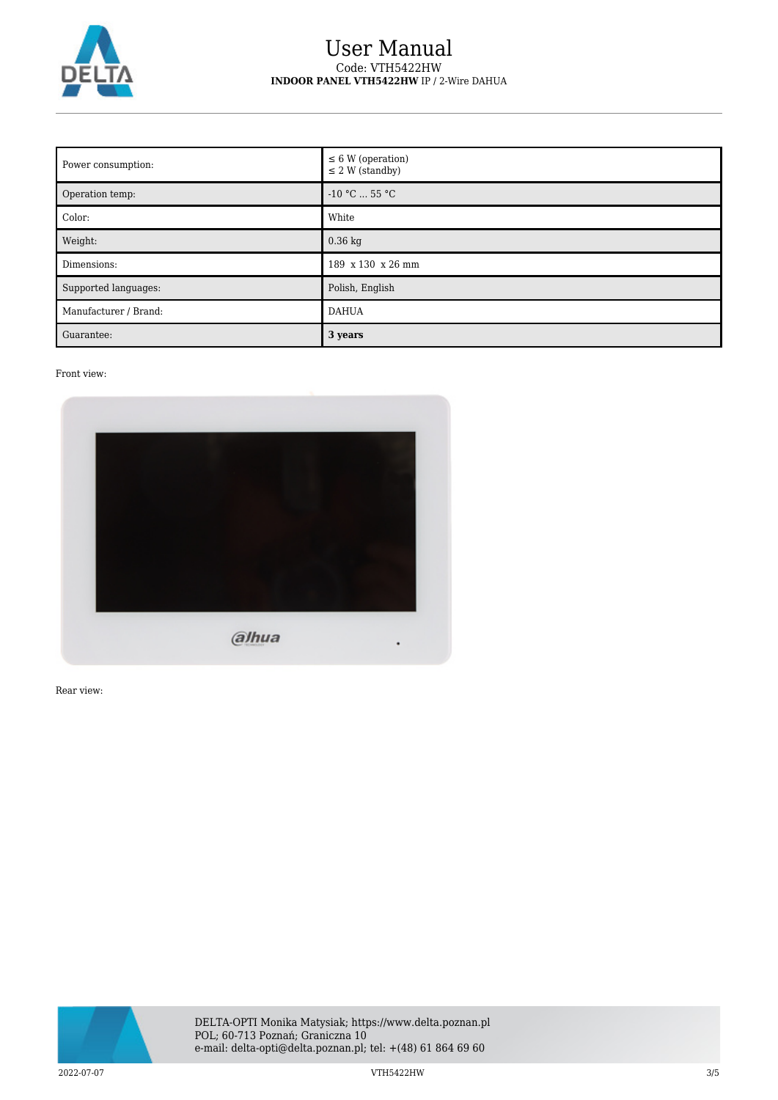

## User Manual Code: VTH5422HW **INDOOR PANEL VTH5422HW** IP / 2-Wire DAHUA

| Power consumption:    | $\leq$ 6 W (operation)<br>$\leq$ 2 W (standby) |
|-----------------------|------------------------------------------------|
| Operation temp:       | $-10 °C  55 °C$                                |
| Color:                | White                                          |
| Weight:               | $0.36$ kg                                      |
| Dimensions:           | 189 x 130 x 26 mm                              |
| Supported languages:  | Polish, English                                |
| Manufacturer / Brand: | <b>DAHUA</b>                                   |
| Guarantee:            | 3 years                                        |

#### Front view:



Rear view:



2022-07-07 VTH5422HW 3/5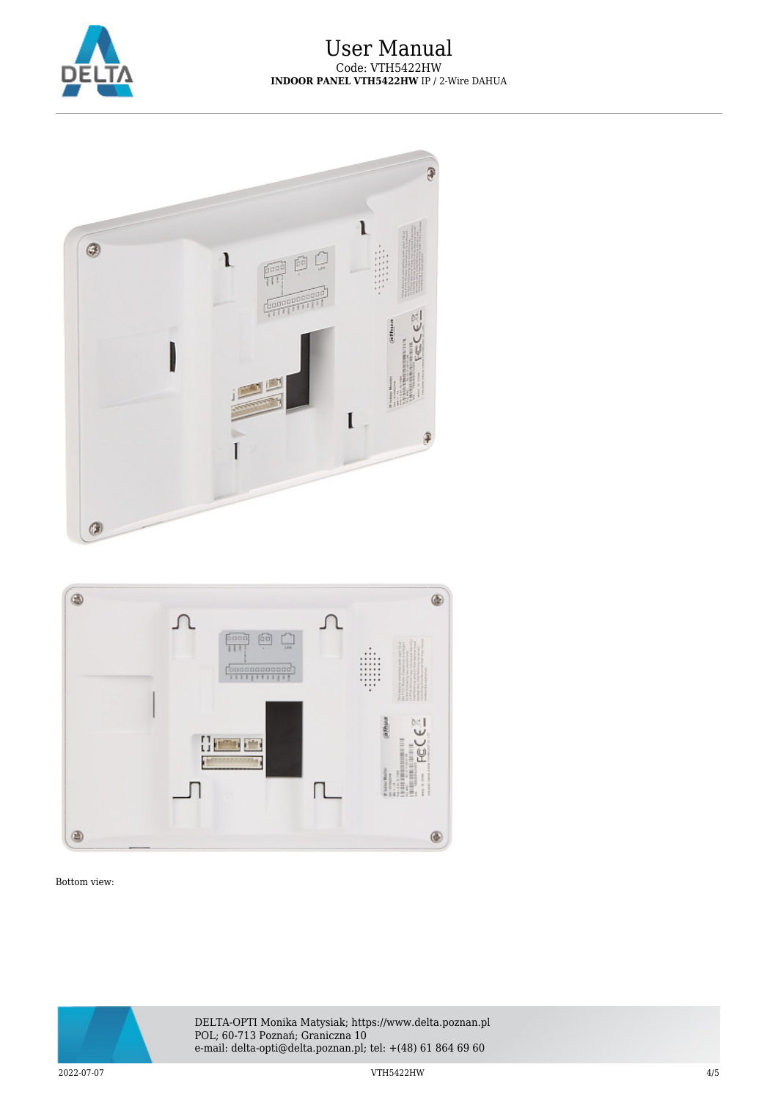

## User Manual Code: VTH5422HW **INDOOR PANEL VTH5422HW** IP / 2-Wire DAHUA





### Bottom view:



DELTA-OPTI Monika Matysiak; https://www.delta.poznan.pl POL; 60-713 Poznań; Graniczna 10 e-mail: delta-opti@delta.poznan.pl; tel: +(48) 61 864 69 60

2022-07-07 VTH5422HW 4/5